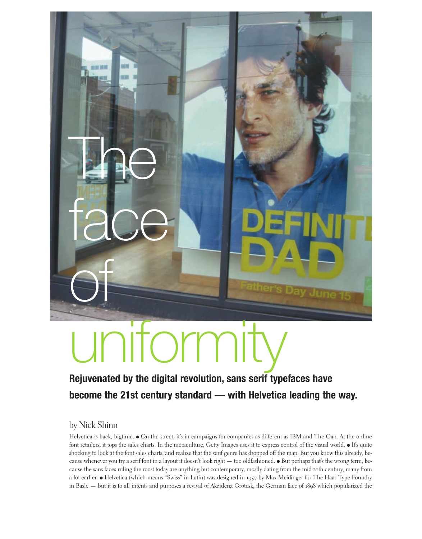

# torr i

# **Rejuvenated by the digital revolution, sans serif typefaces have become the 21st century standard — with Helvetica leading the way.**

## by Nick Shinn

Helvetica is back, bigtime.  $\bullet$  On the street, it's in campaigns for companies as different as IBM and The Gap. At the online font retailers, it tops the sales charts. In the metaculture, Getty Images uses it to express control of the visual world. • It's quite shocking to look at the font sales charts, and realize that the serif genre has dropped off the map. But you know this already, because whenever you try a serif font in a layout it doesn't look right — too oldfashioned.  $\bullet$  But perhaps that's the wrong term, because the sans faces ruling the roost today are anything but contemporary, mostly dating from the mid-20th century, many from a lot earlier. • Helvetica (which means "Swiss" in Latin) was designed in 1957 by Max Meidinger for The Haas Type Foundry in Basle — but it is to all intents and purposes a revival of Akzidenz Grotesk, the German face of 1898 which popularized the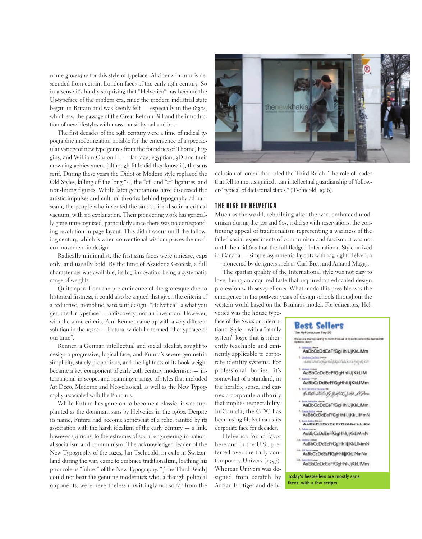name *grotesque* for this style of typeface. Akzidenz in turn is descended from certain London faces of the early 19th century. So in a sense it's hardly surprising that "Helvetica" has become the Ur-typeface of the modern era, since the modern industrial state began in Britain and was keenly felt — especially in the 1830s, which saw the passage of the Great Reform Bill and the introduction of new lifestyles with mass transit by rail and bus.

The first decades of the 19th century were a time of radical typographic modernization notable for the emergence of a spectacular variety of new type genres from the foundries of Thorne, Figgins, and William Caslon III — fat face, egyptian, 3D and their crowning achievement (although little did they know it), the sans serif. During these years the Didot or Modern style replaced the Old Styles, killing off the long "s", the "ct" and "st" ligatures, and non-lining figures. While later generations have discussed the artistic impulses and cultural theories behind typography ad nauseam, the people who invented the sans serif did so in a critical vacuum, with no explanation. Their pioneering work has generally gone unrecognized, particularly since there was no corresponding revolution in page layout. This didn't occur until the following century, which is when conventional wisdom places the modern movement in design.

Radically minimalist, the first sans faces were unicase, caps only, and usually bold. By the time of Akzidenz Grotesk, a full character set was available, its big innovation being a systematic range of weights.

Quite apart from the pre-eminence of the grotesque due to historical firstness, it could also be argued that given the criteria of a reductive, monoline, sans serif design, "Helvetica" is what you get, the Ur-typeface — a discovery, not an invention. However, with the same criteria, Paul Renner came up with a very different solution in the 1920s — Futura, which he termed "the typeface of our time".

Renner, a German intellectual and social idealist, sought to design a progressive, logical face, and Futura's severe geometric simplicity, stately proportions, and the lightness of its book weight became a key component of early 20th century modernism — international in scope, and spanning a range of styles that included Art Deco, Moderne and Neo-classical, as well as the New Typography associated with the Bauhaus.

While Futura has gone on to become a classic, it was supplanted as the dominant sans by Helvetica in the 1960s. Despite its name, Futura had become somewhat of a relic, tainted by its association with the harsh idealism of the early century  $-$  a link, however spurious, to the extremes of social engineering in national socialism and communism. The acknowledged leader of the New Typography of the 1920s, Jan Tschicold, in exile in Switzerland during the war, came to embrace traditionalism, loathing his prior role as "fuhrer" of the New Typography. "[The Third Reich] could not bear the genuine modernists who, although political opponents, were nevertheless unwittingly not so far from the



delusion of 'order' that ruled the Third Reich. The role of leader that fell to me…signified…an intellectual guardianship of 'followers' typical of dictatorial states." (Tschicold, 1946).

#### **THE RISE OF HELVETICA**

Much as the world, rebuilding after the war, embraced modernism during the 50s and 60s, it did so with reservations, the continuing appeal of traditionalism representing a wariness of the failed social experiments of communism and fascism. It was not until the mid-60s that the full-fledged International Style arrived in Canada — simple asymmetric layouts with rag right Helvetica — pioneered by designers such as Carl Brett and Arnaud Maggs.

The spartan quality of the International style was not easy to love, being an acquired taste that required an educated design profession with savvy clients. What made this possible was the emergence in the post-war years of design schools throughout the western world based on the Bauhaus model. For educators, Hel-

vetica was the house typeface of the Swiss or International Style—with a "family system" logic that is inherently teachable and eminently applicable to corporate identity systems. For professional bodies, it's somewhat of a standard, in the heraldic sense, and carries a corporate authority that implies respectability. In Canada, the GDC has been using Helvetica as its corporate face for decades.

Helvetica found favor here and in the U.S., preferred over the truly contemporary Univers (1957). Whereas Univers was designed from scratch by Adrian Frutiger and deliv-

#### **Best Sellers** The MyFonts.com Top 50

**faces, with a few scripts.**

.<br>These are the top seling 50 forts from all of HyFords.com at the last recret AaBbCcDdEeFfGgHhliJjKkLlMm ANG INLIKAHASALI MANINGANI AaBbCcDdEeFfGgHhliJjKkLIM AaBbCcDdEeFfGgHhliJjKkLlMm 4.24.202.9, 9, 415. J.34. D.C. AaBbCcDdEeFfGgHhliJjKkLlMm AaBbCcDdEeFfGgHhliJjKkLIMmN AABBCCDDEEFFGGHHIIJJKK AaBbCcDdEeFfGgHhliJjKkLlMmN AaBbCcDdEeFfGgHhliJjKkLlMmN AaBbCcDdEeFfGgHhlijjKkLlMmNn AaBbCcDdEeFfGgHhliJjKkLIMm **Today's bestsellers are mostly sans**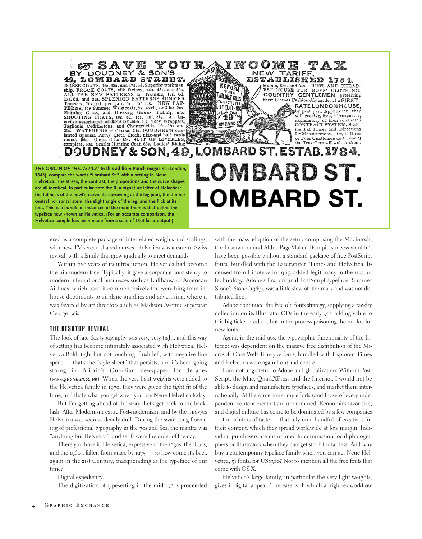YOUR<sub>49</sub> DOUDNEY & SON'S 49, LOMBARD STREET. DRESS COATS 38s, 42s, and 47s, 6d, Superior workman-DRESS COATS, said visits, 40s. 45s. and 50s.<br>ALL THE NEW PATTERNS for Trousers, 13s. 6d.<br>17s. 6d. and 21s. SPLENDID PATTERNS SUMMER 178, od. and 218, SPLENDID FAILERING SOMMED.<br>Trousers, 10s. 6d. per pair, or 3 for 30s. NEW PAT-<br>TERNS, for Summer Waistcoats, 7s. each, or 3 for 20s.<br>Morning Coats, and Dressing Gowns, Fishing, and<br>SHOOTING COATS, 10s. 6d BEST& CHEAPEST mense assortment of READY-MADE York Wrappers Taglionis, Codringtons, and Chesterfields, 12s. 18s. and 21s. WATERPROOF Cloaks, 21s. DOUDNEY'S celebrated Spanish Army Cloth Cloak, nine-and-half yards naud, 50s. Opera ditto 25s. SUIT OF LIVERIES,<br>complete, 63s. Scarlet Hunting Coat. 63s. Ladies' Riding

# or Four Gentlemen unite, one of<br>the Travellers will wait on them. DOUDNEY & SON, 49, LOMBARD ST. ESTAB. 1784. LOMBARD ST. **LOMBARD ST.**

INCOME

NEW

MOARDS

REFORM

You TAILORS BILLS

BY GOING TO THE

S<sup>N</sup>40 %

LOMBARD<sub>S</sub>

GIABLES CITY CLOTHING

**UERAP<sub>SO</sub>** 

LADIES<sup>®</sup>

**ELECANT** 

**IVERIES** 

R FOR.

č۱o

TARIFF

Habits, 63s. and 84s. BEST AND CHEAP<br>EST HOUSE FOR BOYS' CLOTHING

their Clothes Fashionably made, at a FIRST-

1784.

**GENTLEMEN** preferring

RATE LONDON HOUSE, by post-paid Application, they<br>will receive, free, a Prospectus,<br>explanatory of their celebrated

CÓNTRACT SYSTEM, Statement of Prices and Directions for Measurement. Or, if Three

ESTABLISHÉD

COUNTRY

**central horizontal stem, the slight angle of the leg, and the flick at its foot. This is a bundle of instances of the main themes that define the typeface now known as Helvetica. (For an accurate comparison, the Helvetica sample has been made from a scan of 13pt laser output.)** ered as a complete package of interrelated weights and scalings,

*THE ORIGIN OF "HELVETICA"* **In this ad from Punch magazine (London, 1843), compare the words "Lombard St." with a setting in Neue Helvetica. The stress, the contrast, the proportions and the curve shapes are all identical. In particular note the R, a signature letter of Helvetica: the fullness of the bowl's curve, its narrowing at the leg joint, the thinner**

> with new TV screen shaped curves, Helvetica was a careful Swiss revival, with a family that grew gradually to meet demands.

> Within five years of its introduction, Helvetica had become the hip modern face. Typically, it gave a corporate consistency to modern international businesses such as Lufthansa or American Airlines, which used it comprehensively for everything from inhouse documents to airplane graphics and advertising, where it was favored by art directors such as Madison Avenue superstar George Lois.

#### **THE DESKTOP REVIVAL**

The look of late 60s typography was very, very tight, and this way of setting has become intimately associated with Helvetica. Helvetica Bold, tight but not touching, flush left, with negative line space — that's the "style sheet" that persists, and it's been going strong in Britain's Guardian newspaper for decades (*www.guardian.co.uk*). When the very light weights were added to the Helvetica family in 1970, they were given the tight fit of the time, and that's what you get when you use Neue Helvetica today.

But I'm getting ahead of the story. Let's get back to the backlash. After Modernism came Post-modernism, and by the mid-70s Helvetica was seen as deadly dull. During the swan song flowering of professional typography in the 70s and 80s, the mantra was "anything but Helvetica", and serifs were the order of the day.

There you have it, Helvetica, expressive of the 1830s, the 1890s, and the 1960s, fallen from grace by  $1975 -$  so how come it's back again in the 21st Century, masquerading as the typeface of our time?

Digital expediency.

The digitization of typesetting in the mid-1980s proceeded

with the mass adoption of the setup comprising the Macintosh, the Laserwriter and Aldus PageMaker. Its rapid success wouldn't have been possible without a standard package of free PostScript fonts, bundled with the Laserwriter. Times and Helvetica, licensed from Linotype in 1985, added legitimacy to the upstart technology. Adobe's first original PostScript typeface, Sumner Stone's Stone (1987), was a little slow off the mark and was not distributed free.

Adobe continued the free old fonts strategy, supplying a tawdry collection on its Illustrator CDs in the early 90s, adding value to this big-ticket product, but in the process poisoning the market for new fonts.

Again, in the mid-90s, the typographic functionality of the Internet was dependent on the massive free distribution of the Microsoft Core Web Truetype fonts, bundled with Explorer. Times and Helvetica were again front and centre.

I am not ungrateful to Adobe and globalization. Without Post-Script, the Mac, QuarkXPress and the Internet, I would not be able to design and manufacture typefaces, and market them internationally. At the same time, my efforts (and those of every independent content creator) are undermined. Economics favor size, and digital culture has come to be dominated by a few companies — the arbiters of taste — that rely on a handful of creatives for their content, which they spread worldwide at low margin. Individual purchasers are disinclined to commission local photographers or illustrators when they can get stock for far less. And why buy a contemporary typeface family when you can get Neue Helvetica, 51 fonts, for US\$300? Not to mention all the free fonts that come with OS X.

Helvetica's large family, in particular the very light weights, gives it digital appeal. The ease with which a high res workflow